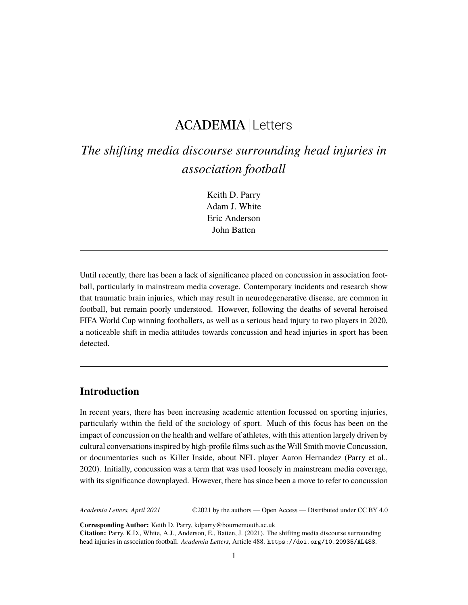## ACADEMIA Letters

# *The shifting media discourse surrounding head injuries in association football*

Keith D. Parry Adam J. White Eric Anderson John Batten

Until recently, there has been a lack of significance placed on concussion in association football, particularly in mainstream media coverage. Contemporary incidents and research show that traumatic brain injuries, which may result in neurodegenerative disease, are common in football, but remain poorly understood. However, following the deaths of several heroised FIFA World Cup winning footballers, as well as a serious head injury to two players in 2020, a noticeable shift in media attitudes towards concussion and head injuries in sport has been detected.

## **Introduction**

In recent years, there has been increasing academic attention focussed on sporting injuries, particularly within the field of the sociology of sport. Much of this focus has been on the impact of concussion on the health and welfare of athletes, with this attention largely driven by cultural conversations inspired by high-profile films such as the Will Smith movie Concussion, or documentaries such as Killer Inside, about NFL player Aaron Hernandez (Parry et al., 2020). Initially, concussion was a term that was used loosely in mainstream media coverage, with its significance downplayed. However, there has since been a move to refer to concussion

*Academia Letters, April 2021* ©2021 by the authors — Open Access — Distributed under CC BY 4.0

**Corresponding Author:** Keith D. Parry, kdparry@bournemouth.ac.uk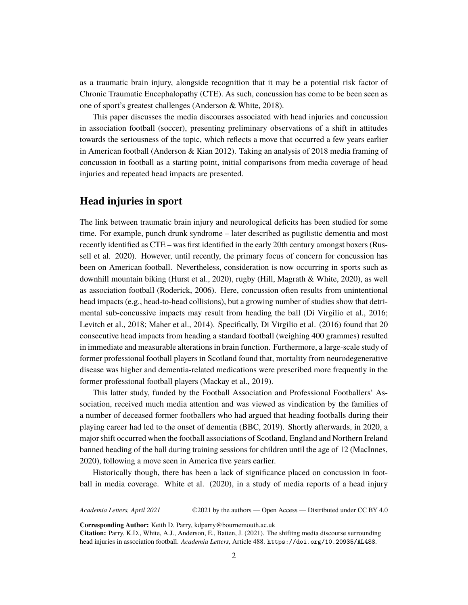as a traumatic brain injury, alongside recognition that it may be a potential risk factor of Chronic Traumatic Encephalopathy (CTE). As such, concussion has come to be been seen as one of sport's greatest challenges (Anderson & White, 2018).

This paper discusses the media discourses associated with head injuries and concussion in association football (soccer), presenting preliminary observations of a shift in attitudes towards the seriousness of the topic, which reflects a move that occurred a few years earlier in American football (Anderson & Kian 2012). Taking an analysis of 2018 media framing of concussion in football as a starting point, initial comparisons from media coverage of head injuries and repeated head impacts are presented.

## **Head injuries in sport**

The link between traumatic brain injury and neurological deficits has been studied for some time. For example, punch drunk syndrome – later described as pugilistic dementia and most recently identified as CTE – was first identified in the early 20th century amongst boxers (Russell et al. 2020). However, until recently, the primary focus of concern for concussion has been on American football. Nevertheless, consideration is now occurring in sports such as downhill mountain biking (Hurst et al., 2020), rugby (Hill, Magrath & White, 2020), as well as association football (Roderick, 2006). Here, concussion often results from unintentional head impacts (e.g., head-to-head collisions), but a growing number of studies show that detrimental sub-concussive impacts may result from heading the ball (Di Virgilio et al., 2016; Levitch et al., 2018; Maher et al., 2014). Specifically, Di Virgilio et al. (2016) found that 20 consecutive head impacts from heading a standard football (weighing 400 grammes) resulted in immediate and measurable alterations in brain function. Furthermore, a large-scale study of former professional football players in Scotland found that, mortality from neurodegenerative disease was higher and dementia-related medications were prescribed more frequently in the former professional football players (Mackay et al., 2019).

This latter study, funded by the Football Association and Professional Footballers' Association, received much media attention and was viewed as vindication by the families of a number of deceased former footballers who had argued that heading footballs during their playing career had led to the onset of dementia (BBC, 2019). Shortly afterwards, in 2020, a major shift occurred when the football associations of Scotland, England and Northern Ireland banned heading of the ball during training sessions for children until the age of 12 (MacInnes, 2020), following a move seen in America five years earlier.

Historically though, there has been a lack of significance placed on concussion in football in media coverage. White et al. (2020), in a study of media reports of a head injury

*Academia Letters, April 2021* ©2021 by the authors — Open Access — Distributed under CC BY 4.0

**Corresponding Author:** Keith D. Parry, kdparry@bournemouth.ac.uk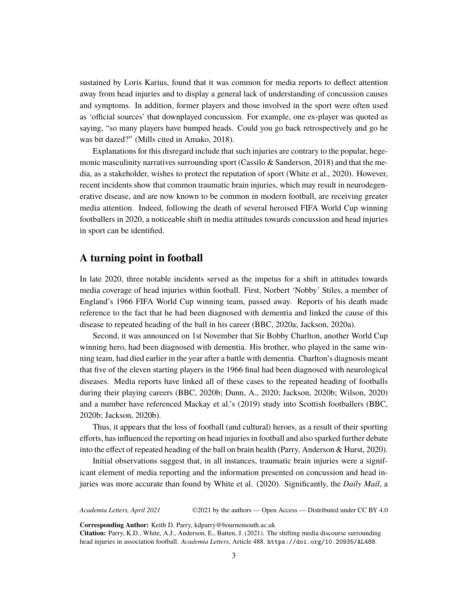sustained by Loris Karius, found that it was common for media reports to deflect attention away from head injuries and to display a general lack of understanding of concussion causes and symptoms. In addition, former players and those involved in the sport were often used as 'official sources' that downplayed concussion. For example, one ex-player was quoted as saying, "so many players have bumped heads. Could you go back retrospectively and go he was bit dazed?" (Mills cited in Amako, 2018).

Explanations for this disregard include that such injuries are contrary to the popular, hegemonic masculinity narratives surrounding sport (Cassilo  $&$  Sanderson, 2018) and that the media, as a stakeholder, wishes to protect the reputation of sport (White et al., 2020). However, recent incidents show that common traumatic brain injuries, which may result in neurodegenerative disease, and are now known to be common in modern football, are receiving greater media attention. Indeed, following the death of several heroised FIFA World Cup winning footballers in 2020, a noticeable shift in media attitudes towards concussion and head injuries in sport can be identified.

### **A turning point in football**

In late 2020, three notable incidents served as the impetus for a shift in attitudes towards media coverage of head injuries within football. First, Norbert 'Nobby' Stiles, a member of England's 1966 FIFA World Cup winning team, passed away. Reports of his death made reference to the fact that he had been diagnosed with dementia and linked the cause of this disease to repeated heading of the ball in his career (BBC, 2020a; Jackson, 2020a).

Second, it was announced on 1st November that Sir Bobby Charlton, another World Cup winning hero, had been diagnosed with dementia. His brother, who played in the same winning team, had died earlier in the year after a battle with dementia. Charlton's diagnosis meant that five of the eleven starting players in the 1966 final had been diagnosed with neurological diseases. Media reports have linked all of these cases to the repeated heading of footballs during their playing careers (BBC, 2020b; Dunn, A., 2020; Jackson, 2020b; Wilson, 2020) and a number have referenced Mackay et al.'s (2019) study into Scottish footballers (BBC, 2020b; Jackson, 2020b).

Thus, it appears that the loss of football (and cultural) heroes, as a result of their sporting efforts, has influenced the reporting on head injuries in football and also sparked further debate into the effect of repeated heading of the ball on brain health (Parry, Anderson & Hurst, 2020).

Initial observations suggest that, in all instances, traumatic brain injuries were a significant element of media reporting and the information presented on concussion and head injuries was more accurate than found by White et al. (2020). Significantly, the *Daily Mail*, a

*Academia Letters, April 2021* ©2021 by the authors — Open Access — Distributed under CC BY 4.0

**Corresponding Author:** Keith D. Parry, kdparry@bournemouth.ac.uk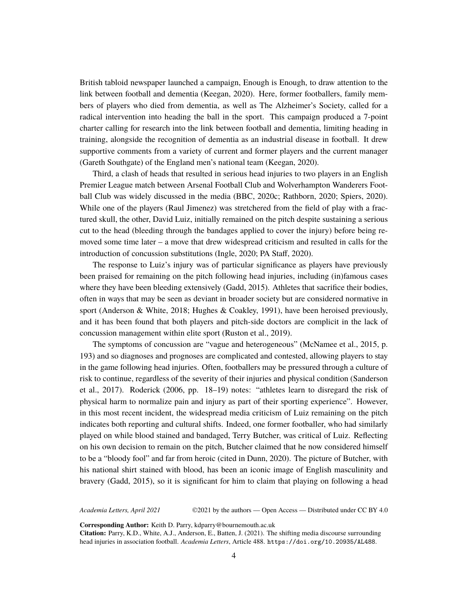British tabloid newspaper launched a campaign, Enough is Enough, to draw attention to the link between football and dementia (Keegan, 2020). Here, former footballers, family members of players who died from dementia, as well as The Alzheimer's Society, called for a radical intervention into heading the ball in the sport. This campaign produced a 7-point charter calling for research into the link between football and dementia, limiting heading in training, alongside the recognition of dementia as an industrial disease in football. It drew supportive comments from a variety of current and former players and the current manager (Gareth Southgate) of the England men's national team (Keegan, 2020).

Third, a clash of heads that resulted in serious head injuries to two players in an English Premier League match between Arsenal Football Club and Wolverhampton Wanderers Football Club was widely discussed in the media (BBC, 2020c; Rathborn, 2020; Spiers, 2020). While one of the players (Raul Jimenez) was stretchered from the field of play with a fractured skull, the other, David Luiz, initially remained on the pitch despite sustaining a serious cut to the head (bleeding through the bandages applied to cover the injury) before being removed some time later – a move that drew widespread criticism and resulted in calls for the introduction of concussion substitutions (Ingle, 2020; PA Staff, 2020).

The response to Luiz's injury was of particular significance as players have previously been praised for remaining on the pitch following head injuries, including (in)famous cases where they have been bleeding extensively (Gadd, 2015). Athletes that sacrifice their bodies, often in ways that may be seen as deviant in broader society but are considered normative in sport (Anderson & White, 2018; Hughes & Coakley, 1991), have been heroised previously, and it has been found that both players and pitch-side doctors are complicit in the lack of concussion management within elite sport (Ruston et al., 2019).

The symptoms of concussion are "vague and heterogeneous" (McNamee et al., 2015, p. 193) and so diagnoses and prognoses are complicated and contested, allowing players to stay in the game following head injuries. Often, footballers may be pressured through a culture of risk to continue, regardless of the severity of their injuries and physical condition (Sanderson et al., 2017). Roderick (2006, pp. 18–19) notes: "athletes learn to disregard the risk of physical harm to normalize pain and injury as part of their sporting experience". However, in this most recent incident, the widespread media criticism of Luiz remaining on the pitch indicates both reporting and cultural shifts. Indeed, one former footballer, who had similarly played on while blood stained and bandaged, Terry Butcher, was critical of Luiz. Reflecting on his own decision to remain on the pitch, Butcher claimed that he now considered himself to be a "bloody fool" and far from heroic (cited in Dunn, 2020). The picture of Butcher, with his national shirt stained with blood, has been an iconic image of English masculinity and bravery (Gadd, 2015), so it is significant for him to claim that playing on following a head

*Academia Letters, April 2021* ©2021 by the authors — Open Access — Distributed under CC BY 4.0

**Corresponding Author:** Keith D. Parry, kdparry@bournemouth.ac.uk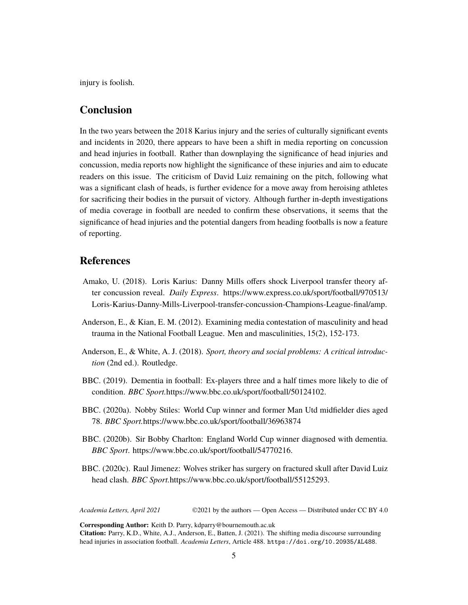injury is foolish.

### **Conclusion**

In the two years between the 2018 Karius injury and the series of culturally significant events and incidents in 2020, there appears to have been a shift in media reporting on concussion and head injuries in football. Rather than downplaying the significance of head injuries and concussion, media reports now highlight the significance of these injuries and aim to educate readers on this issue. The criticism of David Luiz remaining on the pitch, following what was a significant clash of heads, is further evidence for a move away from heroising athletes for sacrificing their bodies in the pursuit of victory. Although further in-depth investigations of media coverage in football are needed to confirm these observations, it seems that the significance of head injuries and the potential dangers from heading footballs is now a feature of reporting.

#### **References**

- Amako, U. (2018). Loris Karius: Danny Mills offers shock Liverpool transfer theory after concussion reveal. *Daily Express*. [https://www.express.co.uk/sport/football/970513/](https://www.express.co.uk/sport/football/970513/Loris-Karius-Danny-Mills-Liverpool-transfer-concussion-Champions-League-final/amp) [Loris-Karius-Danny-Mills-Liverpool-transfer-concussion-Champions-League-final/amp.](https://www.express.co.uk/sport/football/970513/Loris-Karius-Danny-Mills-Liverpool-transfer-concussion-Champions-League-final/amp)
- Anderson, E., & Kian, E. M. (2012). Examining media contestation of masculinity and head trauma in the National Football League. Men and masculinities, 15(2), 152-173.
- Anderson, E., & White, A. J. (2018). *Sport, theory and social problems: A critical introduction* (2nd ed.). Routledge.
- BBC. (2019). Dementia in football: Ex-players three and a half times more likely to die of condition. *BBC Sport.*<https://www.bbc.co.uk/sport/football/50124102>.
- BBC. (2020a). Nobby Stiles: World Cup winner and former Man Utd midfielder dies aged 78. *BBC Sport.*<https://www.bbc.co.uk/sport/football/36963874>
- BBC. (2020b). Sir Bobby Charlton: England World Cup winner diagnosed with dementia. *BBC Sport*. <https://www.bbc.co.uk/sport/football/54770216>.
- BBC. (2020c). Raul Jimenez: Wolves striker has surgery on fractured skull after David Luiz head clash. *BBC Sport.*[https://www.bbc.co.uk/sport/football/55125293.](https://www.bbc.co.uk/sport/football/55125293)

*Academia Letters, April 2021* ©2021 by the authors — Open Access — Distributed under CC BY 4.0

**Corresponding Author:** Keith D. Parry, kdparry@bournemouth.ac.uk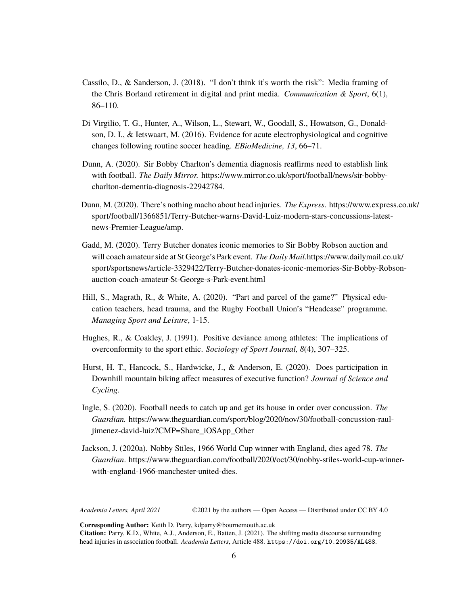- Cassilo, D., & Sanderson, J. (2018). "I don't think it's worth the risk": Media framing of the Chris Borland retirement in digital and print media. *Communication & Sport*, 6(1), 86–110.
- Di Virgilio, T. G., Hunter, A., Wilson, L., Stewart, W., Goodall, S., Howatson, G., Donaldson, D. I., & Ietswaart, M. (2016). Evidence for acute electrophysiological and cognitive changes following routine soccer heading. *EBioMedicine, 13*, 66–71.
- Dunn, A. (2020). Sir Bobby Charlton's dementia diagnosis reaffirms need to establish link with football. *The Daily Mirror.* [https://www.mirror.co.uk/sport/football/news/sir-bobby](https://www.mirror.co.uk/sport/football/news/sir-bobby-charlton-dementia-diagnosis-22942784)[charlton-dementia-diagnosis-22942784](https://www.mirror.co.uk/sport/football/news/sir-bobby-charlton-dementia-diagnosis-22942784).
- Dunn, M. (2020). There's nothing macho about head injuries. *The Express*. [https://www.express.co.uk/](https://www.express.co.uk/sport/football/1366851/Terry-Butcher-warns-David-Luiz-modern-stars-concussions-latest-news-Premier-League/amp) [sport/football/1366851/Terry-Butcher-warns-David-Luiz-modern-stars-concussions-latest](https://www.express.co.uk/sport/football/1366851/Terry-Butcher-warns-David-Luiz-modern-stars-concussions-latest-news-Premier-League/amp)[news-Premier-League/amp](https://www.express.co.uk/sport/football/1366851/Terry-Butcher-warns-David-Luiz-modern-stars-concussions-latest-news-Premier-League/amp).
- Gadd, M. (2020). Terry Butcher donates iconic memories to Sir Bobby Robson auction and will coach amateur side at St George's Park event. *The Daily Mail.*[https://www.dailymail.co.uk/](https://www.dailymail.co.uk/sport/sportsnews/article-3329422/Terry-Butcher-donates-iconic-memories-Sir-Bobby-Robson-auction-coach-amateur-St-George-s-Park-event.html) [sport/sportsnews/article-3329422/Terry-Butcher-donates-iconic-memories-Sir-Bobby-Robson](https://www.dailymail.co.uk/sport/sportsnews/article-3329422/Terry-Butcher-donates-iconic-memories-Sir-Bobby-Robson-auction-coach-amateur-St-George-s-Park-event.html)[auction-coach-amateur-St-George-s-Park-event.html](https://www.dailymail.co.uk/sport/sportsnews/article-3329422/Terry-Butcher-donates-iconic-memories-Sir-Bobby-Robson-auction-coach-amateur-St-George-s-Park-event.html)
- Hill, S., Magrath, R., & White, A. (2020). "Part and parcel of the game?" Physical education teachers, head trauma, and the Rugby Football Union's "Headcase" programme. *Managing Sport and Leisure*, 1-15.
- Hughes, R., & Coakley, J. (1991). Positive deviance among athletes: The implications of overconformity to the sport ethic. *Sociology of Sport Journal, 8*(4), 307–325.
- Hurst, H. T., Hancock, S., Hardwicke, J., & Anderson, E. (2020). Does participation in Downhill mountain biking affect measures of executive function? *Journal of Science and Cycling*.
- Ingle, S. (2020). Football needs to catch up and get its house in order over concussion. *The Guardian.* [https://www.theguardian.com/sport/blog/2020/nov/30/football-concussion-raul](https://www.theguardian.com/sport/blog/2020/nov/30/football-concussion-raul-jimenez-david-luiz?CMP=Share_iOSApp_Other)[jimenez-david-luiz?CMP=Share\\_iOSApp\\_Other](https://www.theguardian.com/sport/blog/2020/nov/30/football-concussion-raul-jimenez-david-luiz?CMP=Share_iOSApp_Other)
- Jackson, J. (2020a). Nobby Stiles, 1966 World Cup winner with England, dies aged 78. *The Guardian*. [https://www.theguardian.com/football/2020/oct/30/nobby-stiles-world-cup-winner](https://www.theguardian.com/football/2020/oct/30/nobby-stiles-world-cup-winner-with-england-1966-manchester-united-dies)[with-england-1966-manchester-united-dies.](https://www.theguardian.com/football/2020/oct/30/nobby-stiles-world-cup-winner-with-england-1966-manchester-united-dies)

*Academia Letters, April 2021* ©2021 by the authors — Open Access — Distributed under CC BY 4.0

**Corresponding Author:** Keith D. Parry, kdparry@bournemouth.ac.uk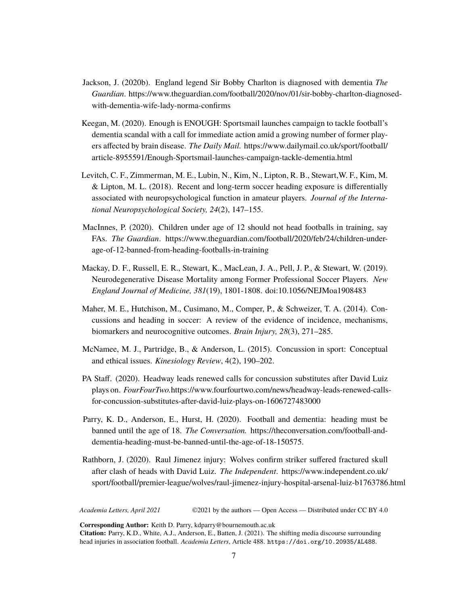- Jackson, J. (2020b). England legend Sir Bobby Charlton is diagnosed with dementia *The Guardian*. [https://www.theguardian.com/football/2020/nov/01/sir-bobby-charlton-diagnosed](https://www.theguardian.com/football/2020/nov/01/sir-bobby-charlton-diagnosed-with-dementia-wife-lady-norma-confirms)[with-dementia-wife-lady-norma-confirms](https://www.theguardian.com/football/2020/nov/01/sir-bobby-charlton-diagnosed-with-dementia-wife-lady-norma-confirms)
- Keegan, M. (2020). Enough is ENOUGH: Sportsmail launches campaign to tackle football's dementia scandal with a call for immediate action amid a growing number of former players affected by brain disease. *The Daily Mail.* [https://www.dailymail.co.uk/sport/football/](https://www.dailymail.co.uk/sport/football/article-8955591/Enough-Sportsmail-launches-campaign-tackle-dementia.html) [article-8955591/Enough-Sportsmail-launches-campaign-tackle-dementia.html](https://www.dailymail.co.uk/sport/football/article-8955591/Enough-Sportsmail-launches-campaign-tackle-dementia.html)
- Levitch, C. F., Zimmerman, M. E., Lubin, N., Kim, N., Lipton, R. B., Stewart,W. F., Kim, M. & Lipton, M. L. (2018). Recent and long-term soccer heading exposure is differentially associated with neuropsychological function in amateur players. *Journal of the International Neuropsychological Society, 24*(2), 147–155.
- MacInnes, P. (2020). Children under age of 12 should not head footballs in training, say FAs. *The Guardian*. [https://www.theguardian.com/football/2020/feb/24/children-under](https://www.theguardian.com/football/2020/feb/24/children-under-age-of-12-banned-from-heading-footballs-in-training)[age-of-12-banned-from-heading-footballs-in-training](https://www.theguardian.com/football/2020/feb/24/children-under-age-of-12-banned-from-heading-footballs-in-training)
- Mackay, D. F., Russell, E. R., Stewart, K., MacLean, J. A., Pell, J. P., & Stewart, W. (2019). Neurodegenerative Disease Mortality among Former Professional Soccer Players. *New England Journal of Medicine, 381*(19), 1801-1808. doi:10.1056/NEJMoa1908483
- Maher, M. E., Hutchison, M., Cusimano, M., Comper, P., & Schweizer, T. A. (2014). Concussions and heading in soccer: A review of the evidence of incidence, mechanisms, biomarkers and neurocognitive outcomes. *Brain Injury, 28*(3), 271–285.
- McNamee, M. J., Partridge, B., & Anderson, L. (2015). Concussion in sport: Conceptual and ethical issues. *Kinesiology Review*, 4(2), 190–202.
- PA Staff. (2020). Headway leads renewed calls for concussion substitutes after David Luiz plays on. *FourFourTwo.*[https://www.fourfourtwo.com/news/headway-leads-renewed-calls](https://www.fourfourtwo.com/news/headway-leads-renewed-calls-for-concussion-substitutes-after-david-luiz-plays-on-1606727483000)[for-concussion-substitutes-after-david-luiz-plays-on-1606727483000](https://www.fourfourtwo.com/news/headway-leads-renewed-calls-for-concussion-substitutes-after-david-luiz-plays-on-1606727483000)
- Parry, K. D., Anderson, E., Hurst, H. (2020). Football and dementia: heading must be banned until the age of 18. *The Conversation.* [https://theconversation.com/football-and](https://theconversation.com/football-and-dementia-heading-must-be-banned-until-the-age-of-18-150575)[dementia-heading-must-be-banned-until-the-age-of-18-150575.](https://theconversation.com/football-and-dementia-heading-must-be-banned-until-the-age-of-18-150575)
- Rathborn, J. (2020). Raul Jimenez injury: Wolves confirm striker suffered fractured skull after clash of heads with David Luiz. *The Independent*. [https://www.independent.co.uk/](https://www.independent.co.uk/sport/football/premier-league/wolves/raul-jimenez-injury-hospital-arsenal-luiz-b1763786.html) [sport/football/premier-league/wolves/raul-jimenez-injury-hospital-arsenal-luiz-b1763786.html](https://www.independent.co.uk/sport/football/premier-league/wolves/raul-jimenez-injury-hospital-arsenal-luiz-b1763786.html)

*Academia Letters, April 2021* ©2021 by the authors — Open Access — Distributed under CC BY 4.0

**Corresponding Author:** Keith D. Parry, kdparry@bournemouth.ac.uk